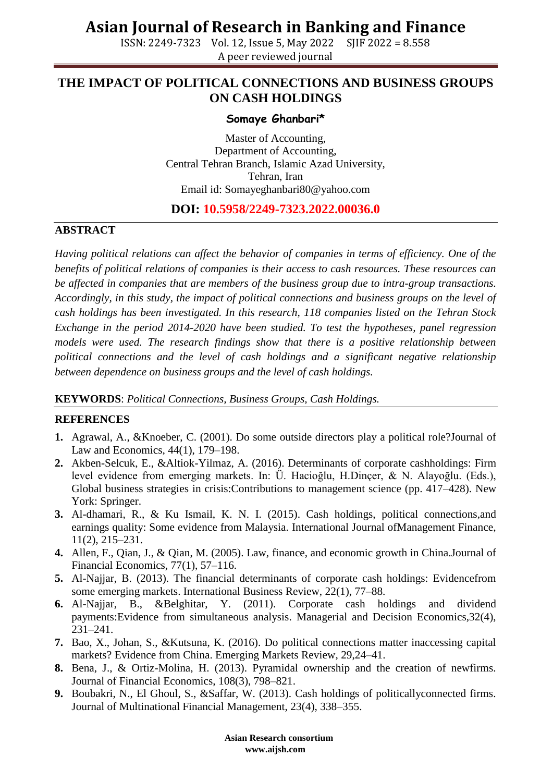# **Asian Journal of Research in Banking and Finance**

ISSN: 2249-7323 Vol. 12, Issue 5, May 2022 SJIF 2022 = 8.558 A peer reviewed journal

### **THE IMPACT OF POLITICAL CONNECTIONS AND BUSINESS GROUPS ON CASH HOLDINGS**

#### **Somaye Ghanbari\***

Master of Accounting, Department of Accounting, Central Tehran Branch, Islamic Azad University, Tehran, Iran Email id: Somayeghanbari80@yahoo.com

### **DOI: 10.5958/2249-7323.2022.00036.0**

#### **ABSTRACT**

*Having political relations can affect the behavior of companies in terms of efficiency. One of the benefits of political relations of companies is their access to cash resources. These resources can be affected in companies that are members of the business group due to intra-group transactions. Accordingly, in this study, the impact of political connections and business groups on the level of cash holdings has been investigated. In this research, 118 companies listed on the Tehran Stock Exchange in the period 2014-2020 have been studied. To test the hypotheses, panel regression models were used. The research findings show that there is a positive relationship between political connections and the level of cash holdings and a significant negative relationship between dependence on business groups and the level of cash holdings.* 

#### **KEYWORDS**: *Political Connections, Business Groups, Cash Holdings.*

#### **REFERENCES**

- **1.** Agrawal, A., &Knoeber, C. (2001). Do some outside directors play a political role?Journal of Law and Economics, 44(1), 179–198.
- **2.** Akben-Selcuk, E., &Altiok-Yilmaz, A. (2016). Determinants of corporate cashholdings: Firm level evidence from emerging markets. In: Ü. Hacioğlu, H.Dinçer, & N. Alayoğlu. (Eds.), Global business strategies in crisis:Contributions to management science (pp. 417–428). New York: Springer.
- **3.** Al-dhamari, R., & Ku Ismail, K. N. I. (2015). Cash holdings, political connections,and earnings quality: Some evidence from Malaysia. International Journal ofManagement Finance, 11(2), 215–231.
- **4.** Allen, F., Qian, J., & Qian, M. (2005). Law, finance, and economic growth in China.Journal of Financial Economics, 77(1), 57–116.
- **5.** Al-Najjar, B. (2013). The financial determinants of corporate cash holdings: Evidencefrom some emerging markets. International Business Review, 22(1), 77–88.
- **6.** Al-Najjar, B., &Belghitar, Y. (2011). Corporate cash holdings and dividend payments:Evidence from simultaneous analysis. Managerial and Decision Economics,32(4), 231–241.
- **7.** Bao, X., Johan, S., &Kutsuna, K. (2016). Do political connections matter inaccessing capital markets? Evidence from China. Emerging Markets Review, 29,24–41.
- **8.** Bena, J., & Ortiz-Molina, H. (2013). Pyramidal ownership and the creation of newfirms. Journal of Financial Economics, 108(3), 798–821.
- **9.** Boubakri, N., El Ghoul, S., &Saffar, W. (2013). Cash holdings of politicallyconnected firms. Journal of Multinational Financial Management, 23(4), 338–355.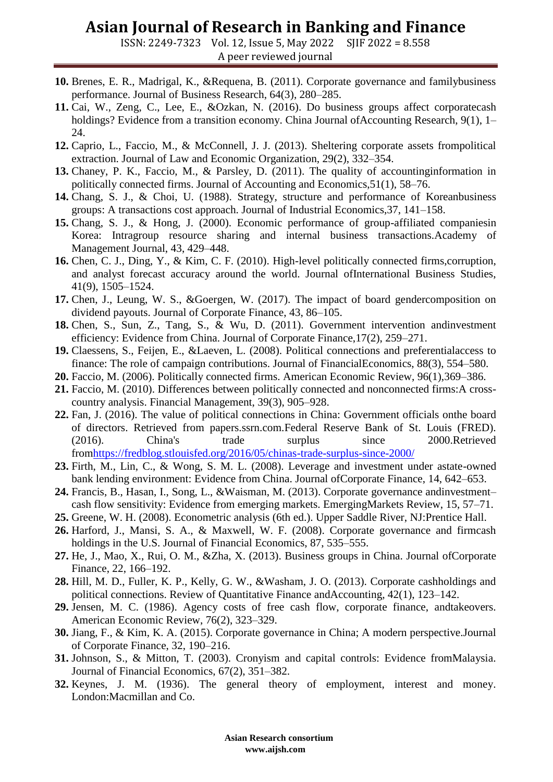## **Asian Journal of Research in Banking and Finance**

ISSN: 2249-7323 Vol. 12, Issue 5, May 2022 SJIF 2022 = 8.558 A peer reviewed journal

- **10.** Brenes, E. R., Madrigal, K., &Requena, B. (2011). Corporate governance and familybusiness performance. Journal of Business Research, 64(3), 280–285.
- **11.** Cai, W., Zeng, C., Lee, E., &Ozkan, N. (2016). Do business groups affect corporatecash holdings? Evidence from a transition economy. China Journal ofAccounting Research, 9(1), 1– 24.
- **12.** Caprio, L., Faccio, M., & McConnell, J. J. (2013). Sheltering corporate assets frompolitical extraction. Journal of Law and Economic Organization, 29(2), 332–354.
- **13.** Chaney, P. K., Faccio, M., & Parsley, D. (2011). The quality of accountinginformation in politically connected firms. Journal of Accounting and Economics,51(1), 58–76.
- **14.** Chang, S. J., & Choi, U. (1988). Strategy, structure and performance of Koreanbusiness groups: A transactions cost approach. Journal of Industrial Economics,37, 141–158.
- **15.** Chang, S. J., & Hong, J. (2000). Economic performance of group-affiliated companiesin Korea: Intragroup resource sharing and internal business transactions.Academy of Management Journal, 43, 429–448.
- **16.** Chen, C. J., Ding, Y., & Kim, C. F. (2010). High-level politically connected firms,corruption, and analyst forecast accuracy around the world. Journal ofInternational Business Studies, 41(9), 1505–1524.
- **17.** Chen, J., Leung, W. S., &Goergen, W. (2017). The impact of board gendercomposition on dividend payouts. Journal of Corporate Finance, 43, 86–105.
- **18.** Chen, S., Sun, Z., Tang, S., & Wu, D. (2011). Government intervention andinvestment efficiency: Evidence from China. Journal of Corporate Finance,17(2), 259–271.
- **19.** Claessens, S., Feijen, E., &Laeven, L. (2008). Political connections and preferentialaccess to finance: The role of campaign contributions. Journal of FinancialEconomics, 88(3), 554–580.
- **20.** Faccio, M. (2006). Politically connected firms. American Economic Review, 96(1),369–386.
- **21.** Faccio, M. (2010). Differences between politically connected and nonconnected firms:A crosscountry analysis. Financial Management, 39(3), 905–928.
- **22.** Fan, J. (2016). The value of political connections in China: Government officials onthe board of directors. Retrieved from papers.ssrn.com.Federal Reserve Bank of St. Louis (FRED). (2016). China's trade surplus since 2000.Retrieved fro[mhttps://fredblog.stlouisfed.org/2016/05/chinas-trade-surplus-since-2000/](https://fredblog.stlouisfed.org/2016/05/chinas-trade-surplus-since-2000/)
- **23.** Firth, M., Lin, C., & Wong, S. M. L. (2008). Leverage and investment under astate-owned bank lending environment: Evidence from China. Journal ofCorporate Finance, 14, 642–653.
- **24.** Francis, B., Hasan, I., Song, L., &Waisman, M. (2013). Corporate governance andinvestment– cash flow sensitivity: Evidence from emerging markets. EmergingMarkets Review, 15, 57–71.
- **25.** Greene, W. H. (2008). Econometric analysis (6th ed.). Upper Saddle River, NJ:Prentice Hall.
- **26.** Harford, J., Mansi, S. A., & Maxwell, W. F. (2008). Corporate governance and firmcash holdings in the U.S. Journal of Financial Economics, 87, 535–555.
- **27.** He, J., Mao, X., Rui, O. M., &Zha, X. (2013). Business groups in China. Journal ofCorporate Finance, 22, 166–192.
- **28.** Hill, M. D., Fuller, K. P., Kelly, G. W., &Washam, J. O. (2013). Corporate cashholdings and political connections. Review of Quantitative Finance andAccounting, 42(1), 123–142.
- **29.** Jensen, M. C. (1986). Agency costs of free cash flow, corporate finance, andtakeovers. American Economic Review, 76(2), 323–329.
- **30.** Jiang, F., & Kim, K. A. (2015). Corporate governance in China; A modern perspective.Journal of Corporate Finance, 32, 190–216.
- **31.** Johnson, S., & Mitton, T. (2003). Cronyism and capital controls: Evidence fromMalaysia. Journal of Financial Economics, 67(2), 351–382.
- **32.** Keynes, J. M. (1936). The general theory of employment, interest and money. London:Macmillan and Co.